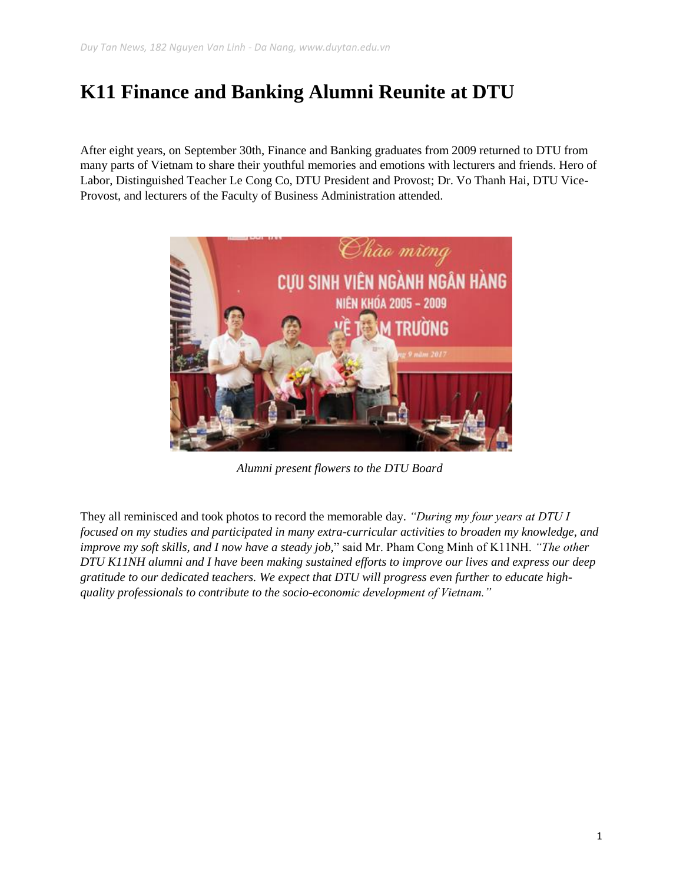## **K11 Finance and Banking Alumni Reunite at DTU**

After eight years, on September 30th, Finance and Banking graduates from 2009 returned to DTU from many parts of Vietnam to share their youthful memories and emotions with lecturers and friends. Hero of Labor, Distinguished Teacher Le Cong Co, DTU President and Provost; Dr. Vo Thanh Hai, DTU Vice-Provost, and lecturers of the Faculty of Business Administration attended.



*Alumni present flowers to the DTU Board*

They all reminisced and took photos to record the memorable day. *"During my four years at DTU I focused on my studies and participated in many extra-curricular activities to broaden my knowledge, and improve my soft skills, and I now have a steady job,*" said Mr. Pham Cong Minh of K11NH. *"The other DTU K11NH alumni and I have been making sustained efforts to improve our lives and express our deep gratitude to our dedicated teachers. We expect that DTU will progress even further to educate highquality professionals to contribute to the socio-economic development of Vietnam."*